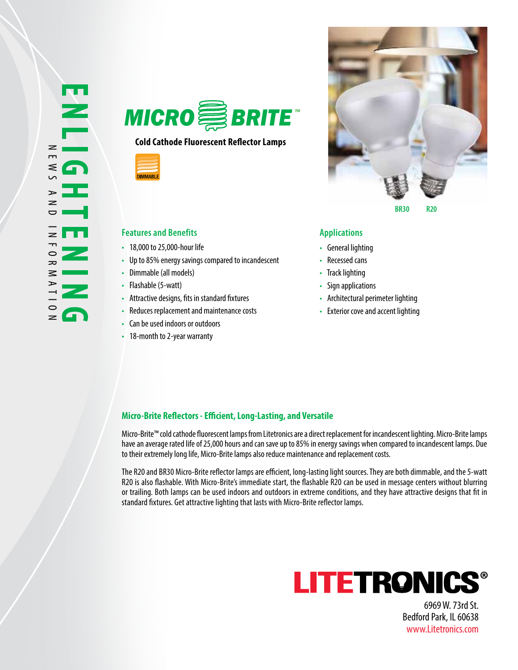

## **Cold Cathode Fluorescent Reflector Lamps**



### **Features and Benefits Applications**

- 18,000 to 25,000-hour life
- Up to 85% energy savings compared to incandescent
- Dimmable (all models)
- Flashable (5-watt)
- Attractive designs, fits in standard fixtures
- Reduces replacement and maintenance costs
- Can be used indoors or outdoors
- 18-month to 2-year warranty



- General lighting
- Recessed cans
- Track lighting
- Sign applications
- Architectural perimeter lighting
- Exterior cove and accent lighting

### **Micro-Brite Reflectors - Efficient, Long-Lasting, and Versatile**

Micro-Brite™ cold cathode fluorescent lamps from Litetronics are a direct replacement for incandescent lighting. Micro-Brite lamps have an average rated life of 25,000 hours and can save up to 85% in energy savings when compared to incandescent lamps. Due to their extremely long life, Micro-Brite lamps also reduce maintenance and replacement costs.

The R20 and BR30 Micro-Brite reflector lamps are efficient, long-lasting light sources. They are both dimmable, and the 5-watt R20 is also flashable. With Micro-Brite's immediate start, the flashable R20 can be used in message centers without blurring or trailing. Both lamps can be used indoors and outdoors in extreme conditions, and they have attractive designs that fit in standard fixtures. Get attractive lighting that lasts with Micro-Brite reflector lamps.



6969 W. 73rd St. Bedford Park, IL 60638 www.Litetronics.com